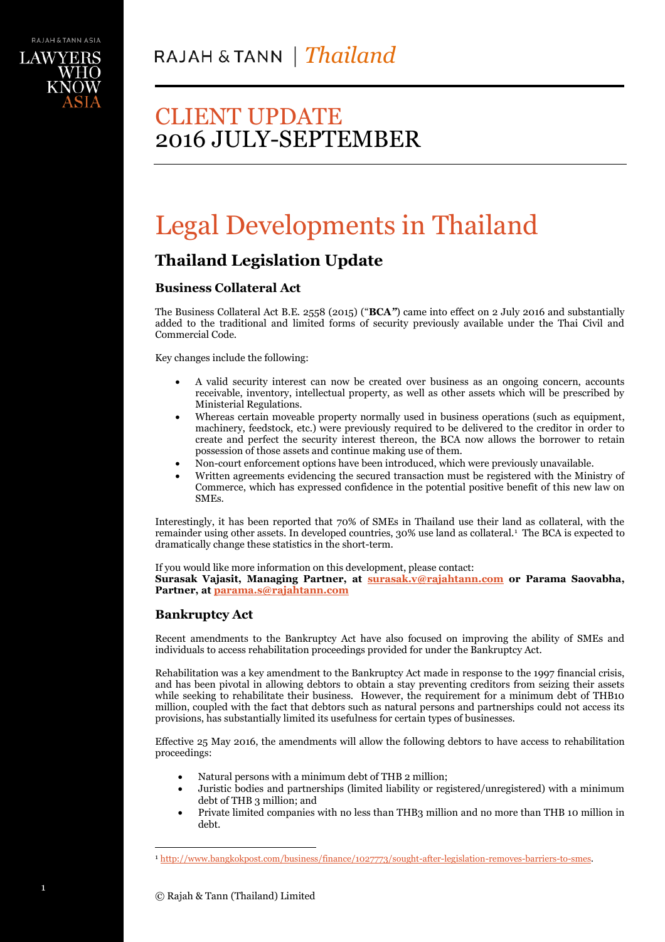

## CLIENT UPDATE 2016 JULY-SEPTEMBER

## Legal Developments in Thailand

## **Thailand Legislation Update**

### **Business Collateral Act**

The Business Collateral Act B.E. 2558 (2015) ("**BCA***"*) came into effect on 2 July 2016 and substantially added to the traditional and limited forms of security previously available under the Thai Civil and Commercial Code.

Key changes include the following:

- A valid security interest can now be created over business as an ongoing concern, accounts receivable, inventory, intellectual property, as well as other assets which will be prescribed by Ministerial Regulations.
- Whereas certain moveable property normally used in business operations (such as equipment, machinery, feedstock, etc.) were previously required to be delivered to the creditor in order to create and perfect the security interest thereon, the BCA now allows the borrower to retain possession of those assets and continue making use of them.
- Non-court enforcement options have been introduced, which were previously unavailable.
- Written agreements evidencing the secured transaction must be registered with the Ministry of Commerce, which has expressed confidence in the potential positive benefit of this new law on SMEs.

Interestingly, it has been reported that 70% of SMEs in Thailand use their land as collateral, with the remainder using other assets. In developed countries, 30% use land as collateral.<sup>1</sup> The BCA is expected to dramatically change these statistics in the short-term.

If you would like more information on this development, please contact:

**Surasak Vajasit, Managing Partner, at [surasak.v@rajahtann.com](mailto:surasak.v@rajahtann.com) or Parama Saovabha, Partner, a[t parama.s@rajahtann.com](mailto:parama.s@rajahtann.com)**

### **Bankruptcy Act**

Recent amendments to the Bankruptcy Act have also focused on improving the ability of SMEs and individuals to access rehabilitation proceedings provided for under the Bankruptcy Act.

Rehabilitation was a key amendment to the Bankruptcy Act made in response to the 1997 financial crisis, and has been pivotal in allowing debtors to obtain a stay preventing creditors from seizing their assets while seeking to rehabilitate their business. However, the requirement for a minimum debt of THB10 million, coupled with the fact that debtors such as natural persons and partnerships could not access its provisions, has substantially limited its usefulness for certain types of businesses.

Effective 25 May 2016, the amendments will allow the following debtors to have access to rehabilitation proceedings:

- Natural persons with a minimum debt of THB 2 million;
- Juristic bodies and partnerships (limited liability or registered/unregistered) with a minimum debt of THB 3 million; and
- Private limited companies with no less than THB3 million and no more than THB 10 million in debt.

j

<sup>1</sup> [http://www.bangkokpost.com/business/finance/1027773/sought-after-legislation-removes-barriers-to-smes.](http://www.bangkokpost.com/business/finance/1027773/sought-after-legislation-removes-barriers-to-smes)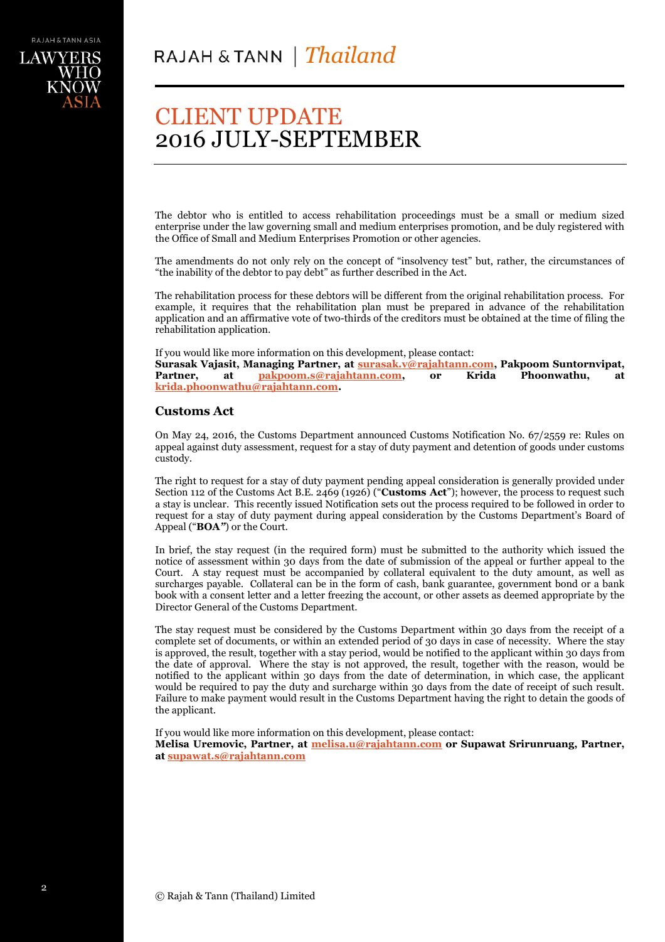LAWYER

# CLIENT UPDATE 2016 JULY-SEPTEMBER

The debtor who is entitled to access rehabilitation proceedings must be a small or medium sized enterprise under the law governing small and medium enterprises promotion, and be duly registered with the Office of Small and Medium Enterprises Promotion or other agencies.

The amendments do not only rely on the concept of "insolvency test" but, rather, the circumstances of "the inability of the debtor to pay debt" as further described in the Act.

The rehabilitation process for these debtors will be different from the original rehabilitation process. For example, it requires that the rehabilitation plan must be prepared in advance of the rehabilitation application and an affirmative vote of two-thirds of the creditors must be obtained at the time of filing the rehabilitation application.

If you would like more information on this development, please contact:

**Surasak Vajasit, Managing Partner, at [surasak.v@rajahtann.com,](mailto:surasak.v@rajahtann.com) Pakpoom Suntornvipat, Partner, at [pakpoom.s@rajahtann.com,](mailto:pakpoom.s@rajahtann.com) or Krida Phoonwathu, at [krida.phoonwathu@rajahtann.com.](mailto:krida.phoonwathu@rajahtann.com)**

### **Customs Act**

On May 24, 2016, the Customs Department announced Customs Notification No. 67/2559 re: Rules on appeal against duty assessment, request for a stay of duty payment and detention of goods under customs custody.

The right to request for a stay of duty payment pending appeal consideration is generally provided under Section 112 of the Customs Act B.E. 2469 (1926) ("**Customs Act**"); however, the process to request such a stay is unclear. This recently issued Notification sets out the process required to be followed in order to request for a stay of duty payment during appeal consideration by the Customs Department's Board of Appeal ("**BOA***"*) or the Court.

In brief, the stay request (in the required form) must be submitted to the authority which issued the notice of assessment within 30 days from the date of submission of the appeal or further appeal to the Court. A stay request must be accompanied by collateral equivalent to the duty amount, as well as surcharges payable. Collateral can be in the form of cash, bank guarantee, government bond or a bank book with a consent letter and a letter freezing the account, or other assets as deemed appropriate by the Director General of the Customs Department.

The stay request must be considered by the Customs Department within 30 days from the receipt of a complete set of documents, or within an extended period of 30 days in case of necessity. Where the stay is approved, the result, together with a stay period, would be notified to the applicant within 30 days from the date of approval. Where the stay is not approved, the result, together with the reason, would be notified to the applicant within 30 days from the date of determination, in which case, the applicant would be required to pay the duty and surcharge within 30 days from the date of receipt of such result. Failure to make payment would result in the Customs Department having the right to detain the goods of the applicant.

If you would like more information on this development, please contact: **Melisa Uremovic, Partner, at [melisa.u@rajahtann.com](mailto:melisa.u@rajahtann.com) or Supawat Srirunruang, Partner, at [supawat.s@rajahtann.com](mailto:supawat.s@rajahtann.com)**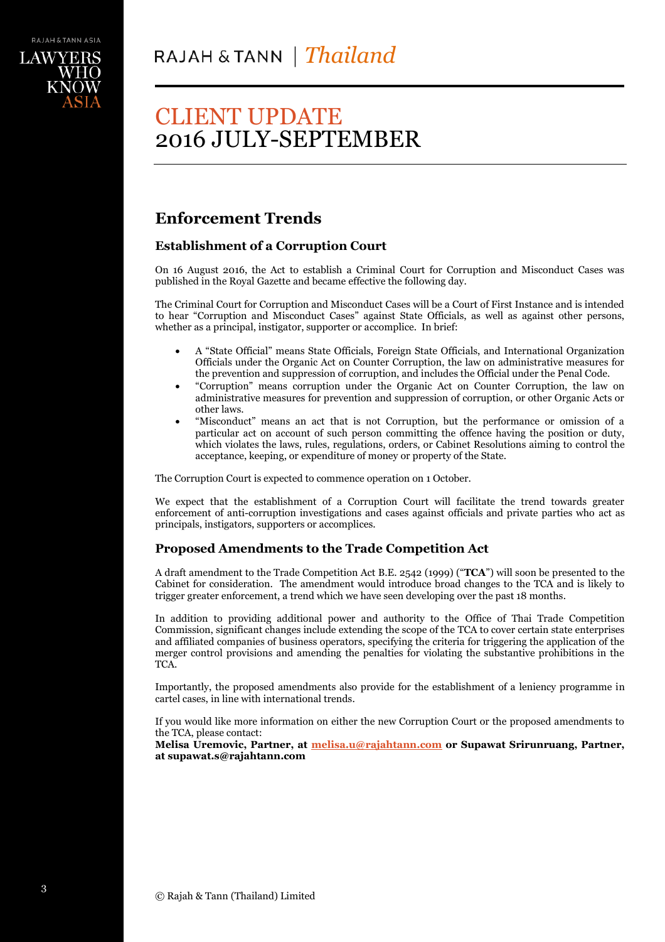

## CLIENT UPDATE 2016 JULY-SEPTEMBER

### **Enforcement Trends**

### **Establishment of a Corruption Court**

On 16 August 2016, the Act to establish a Criminal Court for Corruption and Misconduct Cases was published in the Royal Gazette and became effective the following day.

The Criminal Court for Corruption and Misconduct Cases will be a Court of First Instance and is intended to hear "Corruption and Misconduct Cases" against State Officials, as well as against other persons, whether as a principal, instigator, supporter or accomplice. In brief:

- A "State Official" means State Officials, Foreign State Officials, and International Organization Officials under the Organic Act on Counter Corruption, the law on administrative measures for the prevention and suppression of corruption, and includes the Official under the Penal Code.
- "Corruption" means corruption under the Organic Act on Counter Corruption, the law on administrative measures for prevention and suppression of corruption, or other Organic Acts or other laws.
- "Misconduct" means an act that is not Corruption, but the performance or omission of a particular act on account of such person committing the offence having the position or duty, which violates the laws, rules, regulations, orders, or Cabinet Resolutions aiming to control the acceptance, keeping, or expenditure of money or property of the State.

The Corruption Court is expected to commence operation on 1 October.

We expect that the establishment of a Corruption Court will facilitate the trend towards greater enforcement of anti-corruption investigations and cases against officials and private parties who act as principals, instigators, supporters or accomplices.

### **Proposed Amendments to the Trade Competition Act**

A draft amendment to the Trade Competition Act B.E. 2542 (1999) ("**TCA**") will soon be presented to the Cabinet for consideration. The amendment would introduce broad changes to the TCA and is likely to trigger greater enforcement, a trend which we have seen developing over the past 18 months.

In addition to providing additional power and authority to the Office of Thai Trade Competition Commission, significant changes include extending the scope of the TCA to cover certain state enterprises and affiliated companies of business operators, specifying the criteria for triggering the application of the merger control provisions and amending the penalties for violating the substantive prohibitions in the TCA.

Importantly, the proposed amendments also provide for the establishment of a leniency programme in cartel cases, in line with international trends.

If you would like more information on either the new Corruption Court or the proposed amendments to the TCA, please contact:

**Melisa Uremovic, Partner, at [melisa.u@rajahtann.com](mailto:melisa.u@rajahtann.com) or Supawat Srirunruang, Partner, at supawat.s@rajahtann.com**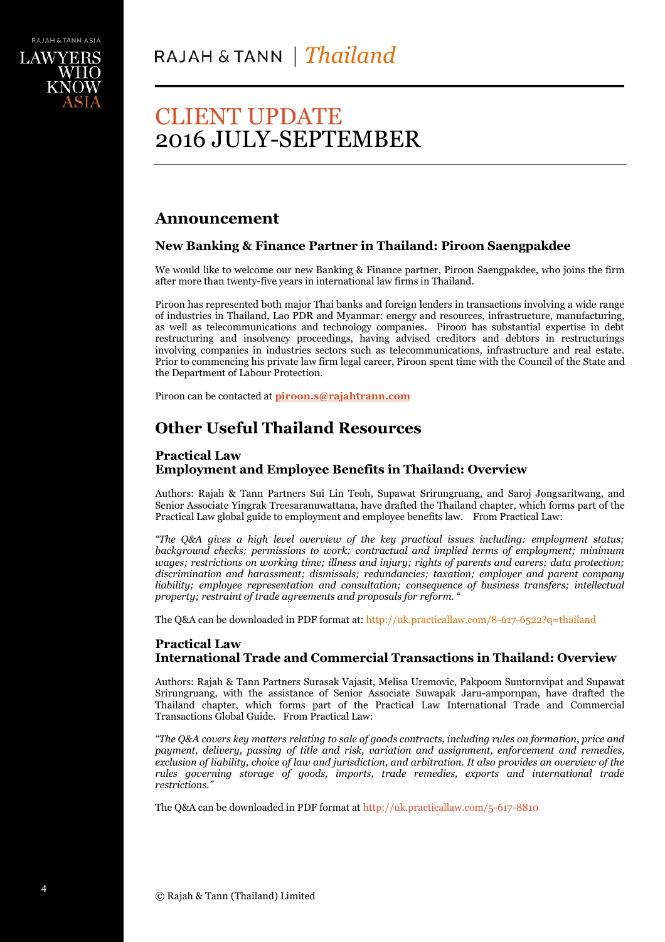

## CLIENT UPDATE 2016 JULY-SEPTEMBER

### **Announcement**

### **New Banking & Finance Partner in Thailand: Piroon Saengpakdee**

We would like to welcome our new Banking & Finance partner, Piroon Saengpakdee, who joins the firm after more than twenty-five years in international law firms in Thailand.

Piroon has represented both major Thai banks and foreign lenders in transactions involving a wide range of industries in Thailand, Lao PDR and Myanmar: energy and resources, infrastructure, manufacturing, as well as telecommunications and technology companies. Piroon has substantial expertise in debt restructuring and insolvency proceedings, having advised creditors and debtors in restructurings involving companies in industries sectors such as telecommunications, infrastructure and real estate. Prior to commencing his private law firm legal career, Piroon spent time with the Council of the State and the Department of Labour Protection.

Piroon can be contacted at **[piroon.s@rajahtrann.com](mailto:piroon.s@rajahtrann.com)**

## **Other Useful Thailand Resources**

### **Practical Law Employment and Employee Benefits in Thailand: Overview**

Authors: Rajah & Tann Partners [Sui Lin Teoh,](http://uk.practicallaw.com/8-617-6522#a145321) [Supawat Srirungruang,](http://uk.practicallaw.com/8-617-6522#a329494) and [Saroj Jongsaritwang,](http://uk.practicallaw.com/8-617-6522#a737975) and Senior Associate [Yingrak Treesaranuwattana,](http://uk.practicallaw.com/8-617-6522#a742020) have drafted the Thailand chapter, which forms part of the Practical Law global guide to employment and employee benefits law. From Practical Law:

*"The Q&A gives a high level overview of the key practical issues including: employment status; background checks; permissions to work; contractual and implied terms of employment; minimum wages; restrictions on working time; illness and injury; rights of parents and carers; data protection; discrimination and harassment; dismissals; redundancies; taxation; employer and parent company liability; employee representation and consultation; consequence of business transfers; intellectual property; restraint of trade agreements and proposals for reform.* "

The Q&A can be downloaded in PDF format at: http://uk.practicallaw.com/8-617-6522?q=thailand

### **Practical Law International Trade and Commercial Transactions in Thailand: Overview**

Authors: Rajah & Tann Partners [Surasak Vajasit,](http://uk.practicallaw.com/5-617-8810#a290988) [Melisa Uremovic,](http://uk.practicallaw.com/5-617-8810#a893187) [Pakpoom Suntornvipat](http://uk.practicallaw.com/5-617-8810#a640880) and [Supawat](http://uk.practicallaw.com/5-617-8810#a166857)  [Srirungruang,](http://uk.practicallaw.com/5-617-8810#a166857) with the assistance of Senior Associate Suwapak Jaru-ampornpan, have drafted the Thailand chapter, which forms part of the Practical Law International Trade and Commercial Transactions Global Guide. From Practical Law:

*"The Q&A covers key matters relating to sale of goods contracts, including rules on formation, price and payment, delivery, passing of title and risk, variation and assignment, enforcement and remedies, exclusion of liability, choice of law and jurisdiction, and arbitration. It also provides an overview of the rules governing storage of goods, imports, trade remedies, exports and international trade restrictions."*

The Q&A can be downloaded in PDF format at<http://uk.practicallaw.com/5-617-8810>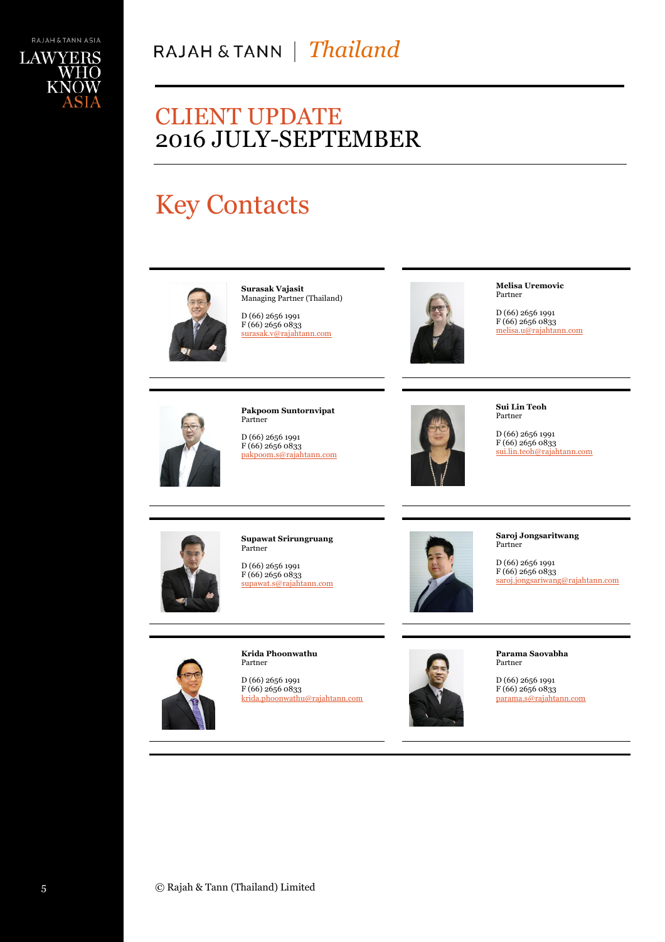

## CLIENT UPDATE 2016 JULY-SEPTEMBER

# Key Contacts



**Surasak Vajasit**  Managing Partner (Thailand)

D (66) 2656 1991 F (66) 2656 0833 [surasak.v@rajahtann.com](mailto:surasak.v@rajahtann.com)



**Melisa Uremovic** Partner

D (66) 2656 1991 F (66) 2656 0833 [melisa.u@rajahtann.com](mailto:melisa.u@rajahtann.com)



**Pakpoom Suntornvipat** Partner

D (66) 2656 1991 F (66) 2656 0833 [pakpoom.s@rajahtann.com](mailto:pakpoom.s@rajahtann.com)



**Sui Lin Teoh** Partner

D (66) 2656 1991  $F(66)$  2656 0833 [sui.lin.teoh@rajahtann.com](mailto:sui.lin.teoh@rajahtann.com)



**Supawat Srirungruang** Partner

D (66) 2656 1991  $F(66)$  2656 0833 [supawat.s@rajahtann.com](mailto:supawat.s@rajahtann.com)



**Saroj Jongsaritwang** Partner

D (66) 2656 1991  $F(66)$  2656 0833 [saroj.jongsariwang@rajahtann.com](mailto:saroj.jongsariwang@rajahtann.com)



**Krida Phoonwathu** Partner

D (66) 2656 1991 F (66) 2656 0833 [krida.phoonwathu@rajahtann.com](mailto:krida.phoonwathu@rajahtann.com)



**Parama Saovabha** Partner

D (66) 2656 1991 F (66) 2656 0833 [parama.s@rajahtann.com](mailto:parama.s@rajahtann.com)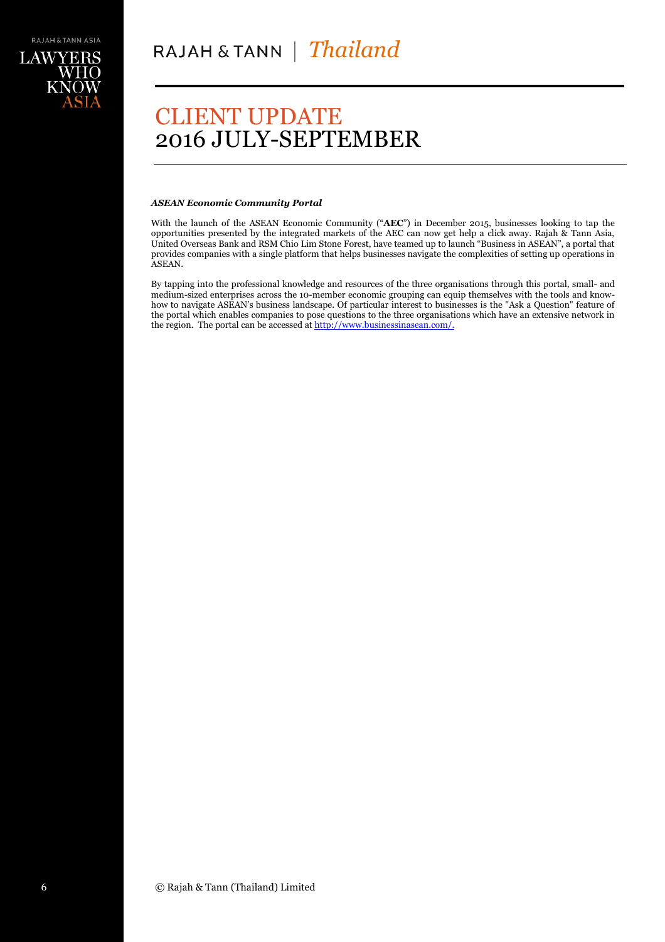**LAWYER** 

## CLIENT UPDATE 2016 JULY-SEPTEMBER

### *ASEAN Economic Community Portal*

With the launch of the ASEAN Economic Community ("**AEC**") in December 2015, businesses looking to tap the opportunities presented by the integrated markets of the AEC can now get help a click away. Rajah & Tann Asia, United Overseas Bank and RSM Chio Lim Stone Forest, have teamed up to launch "Business in ASEAN", a portal that provides companies with a single platform that helps businesses navigate the complexities of setting up operations in ASEAN.

By tapping into the professional knowledge and resources of the three organisations through this portal, small- and medium-sized enterprises across the 10-member economic grouping can equip themselves with the tools and knowhow to navigate ASEAN's business landscape. Of particular interest to businesses is the "Ask a Question" feature of the portal which enables companies to pose questions to the three organisations which have an extensive network in the region. The portal can be accessed at http://www.businessinasean.com/.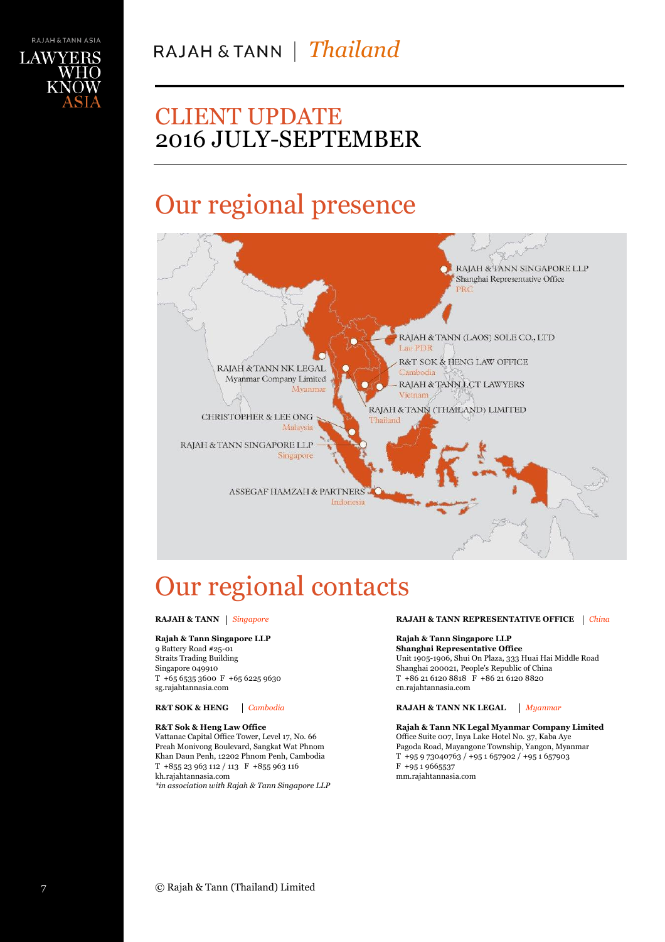

## CLIENT UPDATE 2016 JULY-SEPTEMBER

# Our regional presence



# Our regional contacts

### **Rajah & Tann Singapore LLP** 9 Battery Road #25-01 Straits Trading Building

Singapore 049910 T +65 6535 3600 F +65 6225 9630 sg.rajahtannasia.com

### **R&T Sok & Heng Law Office**

Vattanac Capital Office Tower, Level 17, No. 66 Preah Monivong Boulevard, Sangkat Wat Phnom Khan Daun Penh, 12202 Phnom Penh, Cambodia T +855 23 963 112 / 113 F +855 963 116 kh.rajahtannasia.com *\*in association with Rajah & Tann Singapore LLP*

### **RAJAH & TANN** *Singapore* **RAJAH & TANN REPRESENTATIVE OFFICE** *China*

### **Rajah & Tann Singapore LLP**

**Shanghai Representative Office** Unit 1905-1906, Shui On Plaza, 333 Huai Hai Middle Road Shanghai 200021, People's Republic of China T +86 21 6120 8818 F +86 21 6120 8820 cn.rajahtannasia.com

### **R&T SOK & HENG** *Cambodia* **RAJAH & TANN NK LEGAL** *Myanmar*

### **Rajah & Tann NK Legal Myanmar Company Limited** Office Suite 007, Inya Lake Hotel No. 37, Kaba Aye

Pagoda Road, Mayangone Township, Yangon, Myanmar T +95 9 73040763 / +95 1 657902 / +95 1 657903 F +95 1 9665537 mm.rajahtannasia.com